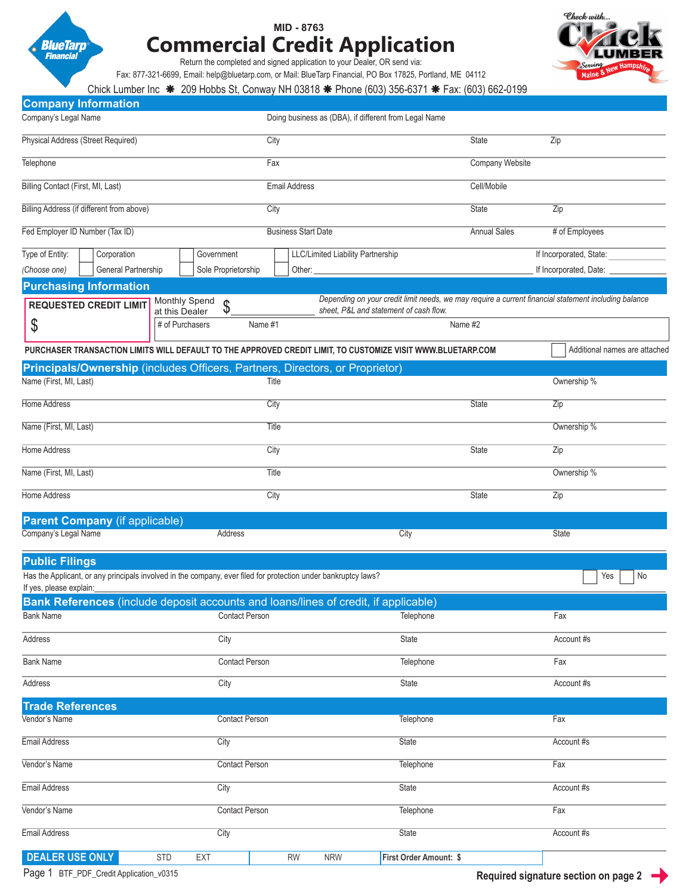

**Company Information**

## **MID - 8763 Commercial Credit Application**



Return the completed and signed application to your Dealer, OR send via:

Fax: 877-321-6699, Email: help@bluetarp.com, or Mail: BlueTarp Financial, PO Box 17825, Portland, ME 04112

Chick Lumber Inc \* 209 Hobbs St, Conway NH 03818 \* Phone (603) 356-6371 \* Fax: (603) 662-0199

| Company's Legal Name                      |                                           |         | Doing business as (DBA), if different from Legal Name                                                                                                                                                                              |         |                               |  |
|-------------------------------------------|-------------------------------------------|---------|------------------------------------------------------------------------------------------------------------------------------------------------------------------------------------------------------------------------------------|---------|-------------------------------|--|
| Physical Address (Street Required)        |                                           |         | City                                                                                                                                                                                                                               |         | Zip                           |  |
| Telephone                                 |                                           |         | Fax                                                                                                                                                                                                                                |         | Company Website               |  |
| Billing Contact (First, MI, Last)         |                                           |         | <b>Email Address</b>                                                                                                                                                                                                               |         |                               |  |
| Billing Address (if different from above) |                                           |         | City                                                                                                                                                                                                                               |         | Zip                           |  |
| Fed Employer ID Number (Tax ID)           |                                           |         | <b>Business Start Date</b>                                                                                                                                                                                                         |         | $#$ of Employees              |  |
| Type of Entity:<br>Corporation            | Government                                |         | LLC/Limited Liability Partnership                                                                                                                                                                                                  |         | If Incorporated, State:       |  |
| General Partnership<br>(Choose one)       | Sole Proprietorship                       |         | Other: <u>with the second second</u> and the second second second second second second second second second second second second second second second second second second second second second second second second second second |         | If Incorporated, Date: ______ |  |
| <b>Purchasing Information</b>             |                                           |         |                                                                                                                                                                                                                                    |         |                               |  |
| <b>REQUESTED CREDIT LIMIT</b>             | Monthly Spend<br>Φ<br>ง<br>at this Dealer |         | Depending on your credit limit needs, we may require a current financial statement including balance<br>sheet. P&L and statement of cash flow.                                                                                     |         |                               |  |
| Φ                                         | # of Purchasers                           | Name #1 |                                                                                                                                                                                                                                    | Name #2 |                               |  |

| Additional names are attache<br>PURCHASER TRANSACTION LIMITS WILL DEFAULT TO THE APPROVED CREDIT LIMIT, TO CUSTOMIZE VISIT WWW.BLUETARP.COM |                                                                              |              |             |  |  |
|---------------------------------------------------------------------------------------------------------------------------------------------|------------------------------------------------------------------------------|--------------|-------------|--|--|
|                                                                                                                                             | Principals/Ownership (includes Officers, Partners, Directors, or Proprietor) |              |             |  |  |
| Name (First, MI, Last)                                                                                                                      | Title                                                                        |              | Ownership % |  |  |
| Home Address                                                                                                                                | City                                                                         | State        | Zip         |  |  |
| Name (First, MI, Last)                                                                                                                      | Title                                                                        |              | Ownership % |  |  |
| Home Address                                                                                                                                | City                                                                         | <b>State</b> | Zip         |  |  |
| Name (First, MI, Last)                                                                                                                      | Title                                                                        |              | Ownership % |  |  |
| Home Address                                                                                                                                | City                                                                         | <b>State</b> | Zip         |  |  |
| $D$ graph $C$ ampany (if applicable)                                                                                                        |                                                                              |              |             |  |  |

| <b>Parent Company</b> (if applicable) |         |      |       |  |  |
|---------------------------------------|---------|------|-------|--|--|
| Company's Legal Name                  | Address | City | State |  |  |

| <b>Public Filings</b>                                                                                                                                  |                          |           |            |                        |            |
|--------------------------------------------------------------------------------------------------------------------------------------------------------|--------------------------|-----------|------------|------------------------|------------|
| Has the Applicant, or any principals involved in the company, ever filed for protection under bankruptcy laws?<br>No<br>Yes<br>If yes, please explain: |                          |           |            |                        |            |
| Bank References (include deposit accounts and loans/lines of credit, if applicable)                                                                    |                          |           |            |                        |            |
| <b>Bank Name</b>                                                                                                                                       | <b>Contact Person</b>    |           |            | Telephone              | Fax        |
| Address                                                                                                                                                | City                     |           |            | State                  | Account #s |
| <b>Bank Name</b>                                                                                                                                       | <b>Contact Person</b>    |           |            | Telephone              | Fax        |
| Address                                                                                                                                                | City                     |           |            | State                  | Account #s |
| <b>Trade References</b>                                                                                                                                |                          |           |            |                        |            |
| Vendor's Name                                                                                                                                          | <b>Contact Person</b>    |           |            | Telephone              | Fax        |
| Email Address                                                                                                                                          | City                     |           |            | <b>State</b>           | Account #s |
| Vendor's Name                                                                                                                                          | <b>Contact Person</b>    |           | Telephone  | Fax                    |            |
| <b>Email Address</b>                                                                                                                                   | City                     |           |            | State<br>Account #s    |            |
| Vendor's Name                                                                                                                                          | <b>Contact Person</b>    |           | Telephone  | Fax                    |            |
| Email Address                                                                                                                                          | City                     |           |            | <b>State</b>           | Account #s |
| <b>DEALER USE ONLY</b>                                                                                                                                 | <b>STD</b><br><b>EXT</b> | <b>RW</b> | <b>NRW</b> | First Order Amount: \$ |            |